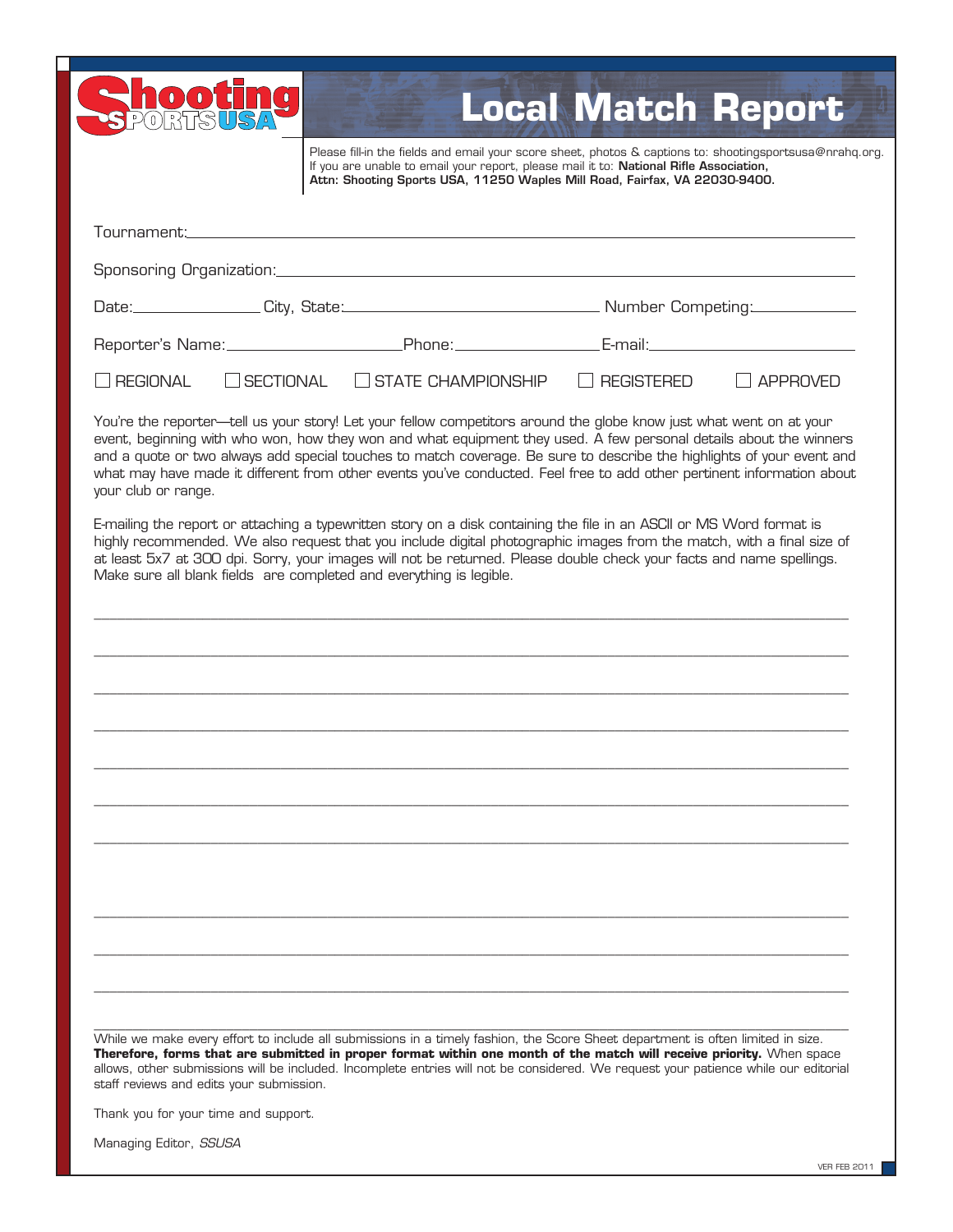|                                                                     |           | Please fill-in the fields and email your score sheet, photos & captions to: shootingsportsusa@nrahq.org.<br>If you are unable to email your report, please mail it to: National Rifle Association,<br>Attn: Shooting Sports USA, 11250 Waples Mill Road, Fairfax, VA 22030-9400.                                                                                                                                                                                                             |                   |                 |
|---------------------------------------------------------------------|-----------|----------------------------------------------------------------------------------------------------------------------------------------------------------------------------------------------------------------------------------------------------------------------------------------------------------------------------------------------------------------------------------------------------------------------------------------------------------------------------------------------|-------------------|-----------------|
|                                                                     |           |                                                                                                                                                                                                                                                                                                                                                                                                                                                                                              |                   |                 |
|                                                                     |           |                                                                                                                                                                                                                                                                                                                                                                                                                                                                                              |                   |                 |
|                                                                     |           |                                                                                                                                                                                                                                                                                                                                                                                                                                                                                              |                   |                 |
|                                                                     |           |                                                                                                                                                                                                                                                                                                                                                                                                                                                                                              |                   |                 |
| <b>REGIONAL</b>                                                     | SECTIONAL | $\Box$ STATE CHAMPIONSHIP                                                                                                                                                                                                                                                                                                                                                                                                                                                                    | <b>REGISTERED</b> | <b>APPROVED</b> |
| your club or range.                                                 |           | You're the reporter—tell us your story! Let your fellow competitors around the globe know just what went on at your<br>event, beginning with who won, how they won and what equipment they used. A few personal details about the winners<br>and a quote or two always add special touches to match coverage. Be sure to describe the highlights of your event and<br>what may have made it different from other events you've conducted. Feel free to add other pertinent information about |                   |                 |
| Make sure all blank fields are completed and everything is legible. |           |                                                                                                                                                                                                                                                                                                                                                                                                                                                                                              |                   |                 |
|                                                                     |           |                                                                                                                                                                                                                                                                                                                                                                                                                                                                                              |                   |                 |
|                                                                     |           |                                                                                                                                                                                                                                                                                                                                                                                                                                                                                              |                   |                 |
|                                                                     |           |                                                                                                                                                                                                                                                                                                                                                                                                                                                                                              |                   |                 |
|                                                                     |           |                                                                                                                                                                                                                                                                                                                                                                                                                                                                                              |                   |                 |
|                                                                     |           |                                                                                                                                                                                                                                                                                                                                                                                                                                                                                              |                   |                 |
|                                                                     |           |                                                                                                                                                                                                                                                                                                                                                                                                                                                                                              |                   |                 |
|                                                                     |           |                                                                                                                                                                                                                                                                                                                                                                                                                                                                                              |                   |                 |
|                                                                     |           |                                                                                                                                                                                                                                                                                                                                                                                                                                                                                              |                   |                 |
|                                                                     |           |                                                                                                                                                                                                                                                                                                                                                                                                                                                                                              |                   |                 |

Managing Editor, *SSUSA*

П